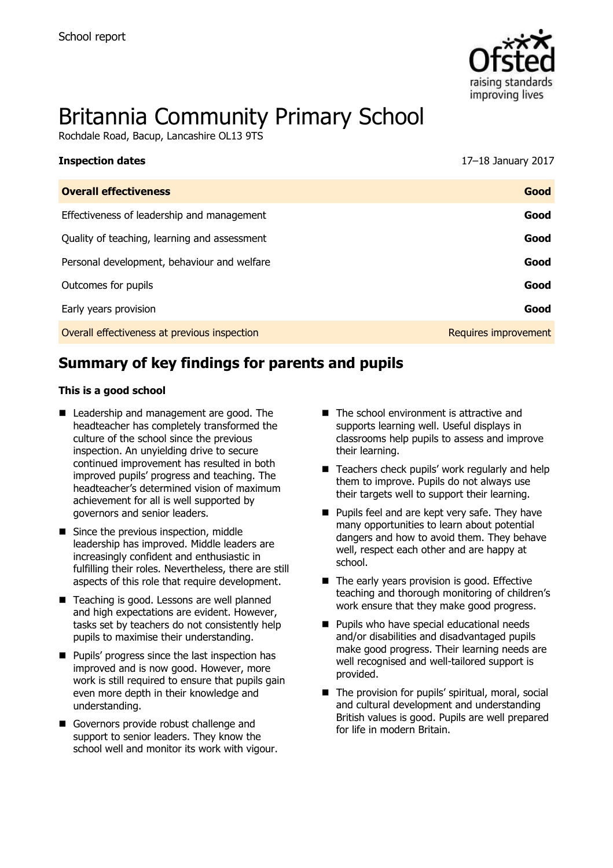

# Britannia Community Primary School

Rochdale Road, Bacup, Lancashire OL13 9TS

| <b>Inspection dates</b>                      | 17–18 January 2017   |
|----------------------------------------------|----------------------|
| <b>Overall effectiveness</b>                 | Good                 |
| Effectiveness of leadership and management   | Good                 |
| Quality of teaching, learning and assessment | Good                 |
| Personal development, behaviour and welfare  | Good                 |
| Outcomes for pupils                          | Good                 |
| Early years provision                        | Good                 |
| Overall effectiveness at previous inspection | Requires improvement |

# **Summary of key findings for parents and pupils**

#### **This is a good school**

- Leadership and management are good. The headteacher has completely transformed the culture of the school since the previous inspection. An unyielding drive to secure continued improvement has resulted in both improved pupils' progress and teaching. The headteacher's determined vision of maximum achievement for all is well supported by governors and senior leaders.
- Since the previous inspection, middle leadership has improved. Middle leaders are increasingly confident and enthusiastic in fulfilling their roles. Nevertheless, there are still aspects of this role that require development.
- Teaching is good. Lessons are well planned and high expectations are evident. However, tasks set by teachers do not consistently help pupils to maximise their understanding.
- **Pupils' progress since the last inspection has** improved and is now good. However, more work is still required to ensure that pupils gain even more depth in their knowledge and understanding.
- Governors provide robust challenge and support to senior leaders. They know the school well and monitor its work with vigour.
- The school environment is attractive and supports learning well. Useful displays in classrooms help pupils to assess and improve their learning.
- Teachers check pupils' work regularly and help them to improve. Pupils do not always use their targets well to support their learning.
- **Pupils feel and are kept very safe. They have** many opportunities to learn about potential dangers and how to avoid them. They behave well, respect each other and are happy at school.
- The early years provision is good. Effective teaching and thorough monitoring of children's work ensure that they make good progress.
- **Pupils who have special educational needs** and/or disabilities and disadvantaged pupils make good progress. Their learning needs are well recognised and well-tailored support is provided.
- The provision for pupils' spiritual, moral, social and cultural development and understanding British values is good. Pupils are well prepared for life in modern Britain.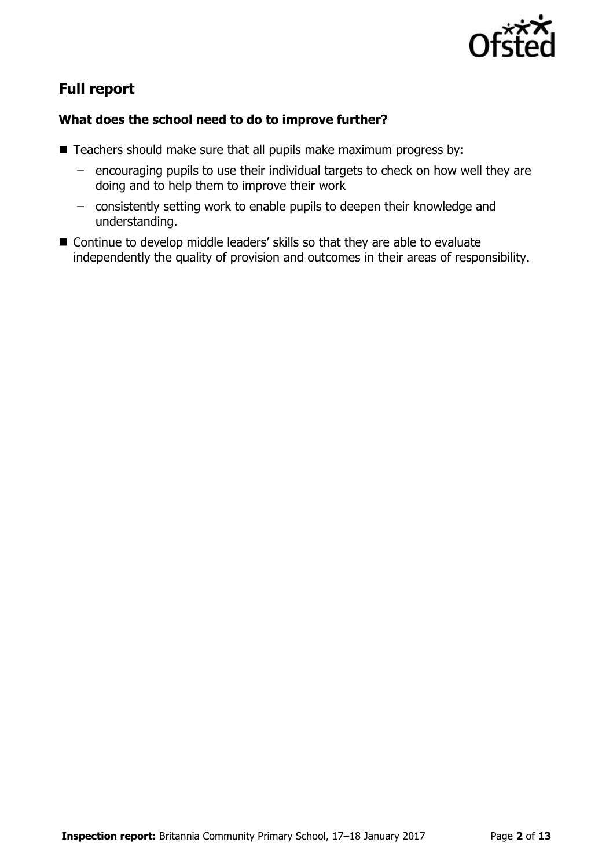

# **Full report**

### **What does the school need to do to improve further?**

- Teachers should make sure that all pupils make maximum progress by:
	- encouraging pupils to use their individual targets to check on how well they are doing and to help them to improve their work
	- consistently setting work to enable pupils to deepen their knowledge and understanding.
- Continue to develop middle leaders' skills so that they are able to evaluate independently the quality of provision and outcomes in their areas of responsibility.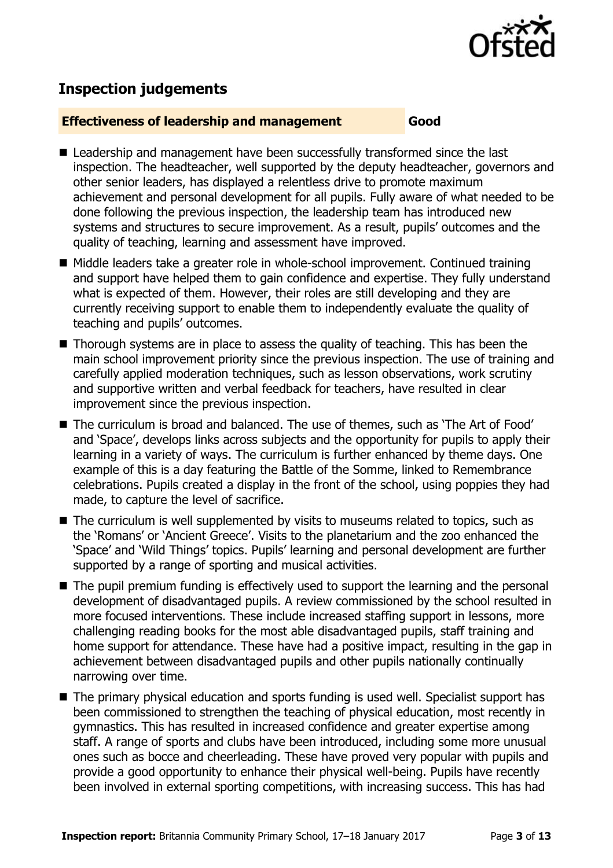

# **Inspection judgements**

#### **Effectiveness of leadership and management Good**

- Leadership and management have been successfully transformed since the last inspection. The headteacher, well supported by the deputy headteacher, governors and other senior leaders, has displayed a relentless drive to promote maximum achievement and personal development for all pupils. Fully aware of what needed to be done following the previous inspection, the leadership team has introduced new systems and structures to secure improvement. As a result, pupils' outcomes and the quality of teaching, learning and assessment have improved.
- Middle leaders take a greater role in whole-school improvement. Continued training and support have helped them to gain confidence and expertise. They fully understand what is expected of them. However, their roles are still developing and they are currently receiving support to enable them to independently evaluate the quality of teaching and pupils' outcomes.
- Thorough systems are in place to assess the quality of teaching. This has been the main school improvement priority since the previous inspection. The use of training and carefully applied moderation techniques, such as lesson observations, work scrutiny and supportive written and verbal feedback for teachers, have resulted in clear improvement since the previous inspection.
- The curriculum is broad and balanced. The use of themes, such as 'The Art of Food' and 'Space', develops links across subjects and the opportunity for pupils to apply their learning in a variety of ways. The curriculum is further enhanced by theme days. One example of this is a day featuring the Battle of the Somme, linked to Remembrance celebrations. Pupils created a display in the front of the school, using poppies they had made, to capture the level of sacrifice.
- The curriculum is well supplemented by visits to museums related to topics, such as the 'Romans' or 'Ancient Greece'. Visits to the planetarium and the zoo enhanced the 'Space' and 'Wild Things' topics. Pupils' learning and personal development are further supported by a range of sporting and musical activities.
- The pupil premium funding is effectively used to support the learning and the personal development of disadvantaged pupils. A review commissioned by the school resulted in more focused interventions. These include increased staffing support in lessons, more challenging reading books for the most able disadvantaged pupils, staff training and home support for attendance. These have had a positive impact, resulting in the gap in achievement between disadvantaged pupils and other pupils nationally continually narrowing over time.
- The primary physical education and sports funding is used well. Specialist support has been commissioned to strengthen the teaching of physical education, most recently in gymnastics. This has resulted in increased confidence and greater expertise among staff. A range of sports and clubs have been introduced, including some more unusual ones such as bocce and cheerleading. These have proved very popular with pupils and provide a good opportunity to enhance their physical well-being. Pupils have recently been involved in external sporting competitions, with increasing success. This has had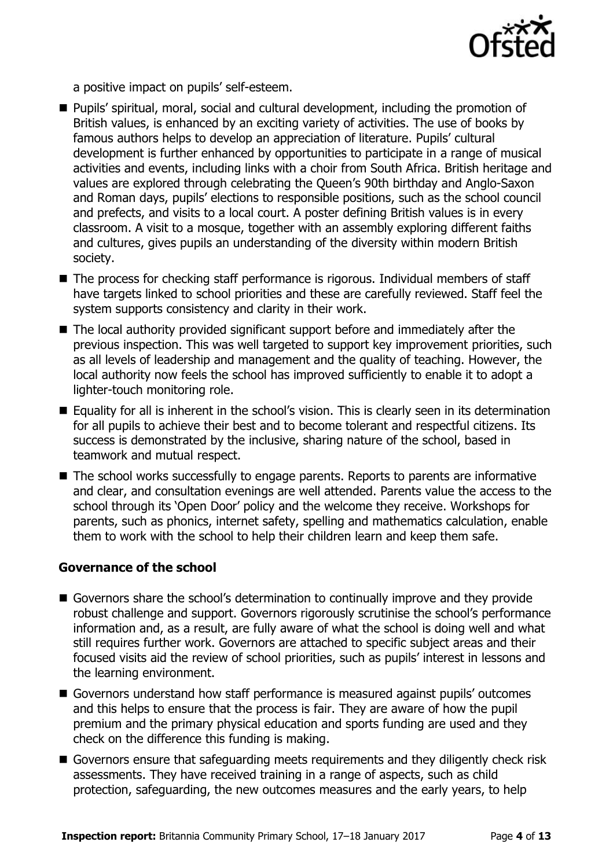

a positive impact on pupils' self-esteem.

- Pupils' spiritual, moral, social and cultural development, including the promotion of British values, is enhanced by an exciting variety of activities. The use of books by famous authors helps to develop an appreciation of literature. Pupils' cultural development is further enhanced by opportunities to participate in a range of musical activities and events, including links with a choir from South Africa. British heritage and values are explored through celebrating the Queen's 90th birthday and Anglo-Saxon and Roman days, pupils' elections to responsible positions, such as the school council and prefects, and visits to a local court. A poster defining British values is in every classroom. A visit to a mosque, together with an assembly exploring different faiths and cultures, gives pupils an understanding of the diversity within modern British society.
- The process for checking staff performance is rigorous. Individual members of staff have targets linked to school priorities and these are carefully reviewed. Staff feel the system supports consistency and clarity in their work.
- The local authority provided significant support before and immediately after the previous inspection. This was well targeted to support key improvement priorities, such as all levels of leadership and management and the quality of teaching. However, the local authority now feels the school has improved sufficiently to enable it to adopt a lighter-touch monitoring role.
- Equality for all is inherent in the school's vision. This is clearly seen in its determination for all pupils to achieve their best and to become tolerant and respectful citizens. Its success is demonstrated by the inclusive, sharing nature of the school, based in teamwork and mutual respect.
- The school works successfully to engage parents. Reports to parents are informative and clear, and consultation evenings are well attended. Parents value the access to the school through its 'Open Door' policy and the welcome they receive. Workshops for parents, such as phonics, internet safety, spelling and mathematics calculation, enable them to work with the school to help their children learn and keep them safe.

#### **Governance of the school**

- Governors share the school's determination to continually improve and they provide robust challenge and support. Governors rigorously scrutinise the school's performance information and, as a result, are fully aware of what the school is doing well and what still requires further work. Governors are attached to specific subject areas and their focused visits aid the review of school priorities, such as pupils' interest in lessons and the learning environment.
- Governors understand how staff performance is measured against pupils' outcomes and this helps to ensure that the process is fair. They are aware of how the pupil premium and the primary physical education and sports funding are used and they check on the difference this funding is making.
- Governors ensure that safeguarding meets requirements and they diligently check risk assessments. They have received training in a range of aspects, such as child protection, safeguarding, the new outcomes measures and the early years, to help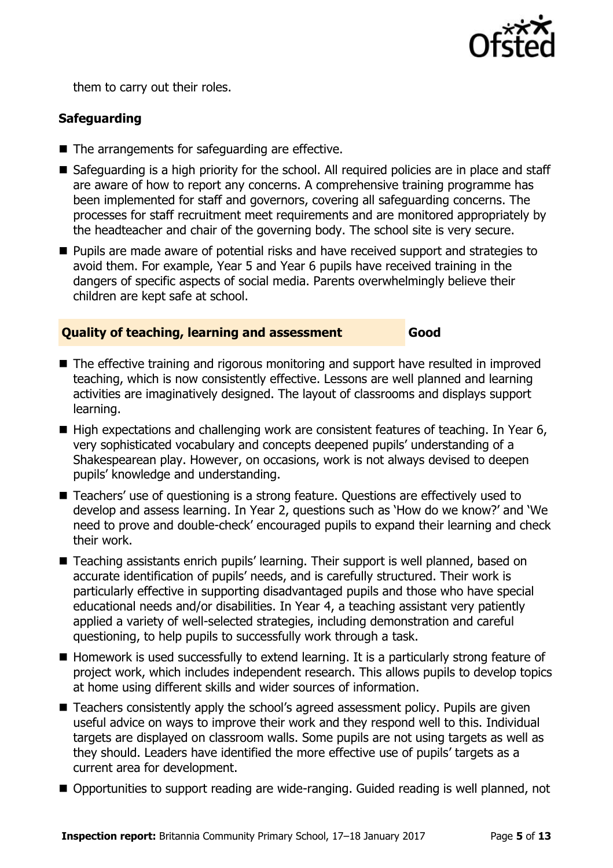

them to carry out their roles.

### **Safeguarding**

- The arrangements for safeguarding are effective.
- Safeguarding is a high priority for the school. All reguired policies are in place and staff are aware of how to report any concerns. A comprehensive training programme has been implemented for staff and governors, covering all safeguarding concerns. The processes for staff recruitment meet requirements and are monitored appropriately by the headteacher and chair of the governing body. The school site is very secure.
- **Pupils are made aware of potential risks and have received support and strategies to** avoid them. For example, Year 5 and Year 6 pupils have received training in the dangers of specific aspects of social media. Parents overwhelmingly believe their children are kept safe at school.

#### **Quality of teaching, learning and assessment Good**

- The effective training and rigorous monitoring and support have resulted in improved teaching, which is now consistently effective. Lessons are well planned and learning activities are imaginatively designed. The layout of classrooms and displays support learning.
- High expectations and challenging work are consistent features of teaching. In Year 6, very sophisticated vocabulary and concepts deepened pupils' understanding of a Shakespearean play. However, on occasions, work is not always devised to deepen pupils' knowledge and understanding.
- Teachers' use of questioning is a strong feature. Questions are effectively used to develop and assess learning. In Year 2, questions such as 'How do we know?' and 'We need to prove and double-check' encouraged pupils to expand their learning and check their work.
- Teaching assistants enrich pupils' learning. Their support is well planned, based on accurate identification of pupils' needs, and is carefully structured. Their work is particularly effective in supporting disadvantaged pupils and those who have special educational needs and/or disabilities. In Year 4, a teaching assistant very patiently applied a variety of well-selected strategies, including demonstration and careful questioning, to help pupils to successfully work through a task.
- Homework is used successfully to extend learning. It is a particularly strong feature of project work, which includes independent research. This allows pupils to develop topics at home using different skills and wider sources of information.
- Teachers consistently apply the school's agreed assessment policy. Pupils are given useful advice on ways to improve their work and they respond well to this. Individual targets are displayed on classroom walls. Some pupils are not using targets as well as they should. Leaders have identified the more effective use of pupils' targets as a current area for development.
- Opportunities to support reading are wide-ranging. Guided reading is well planned, not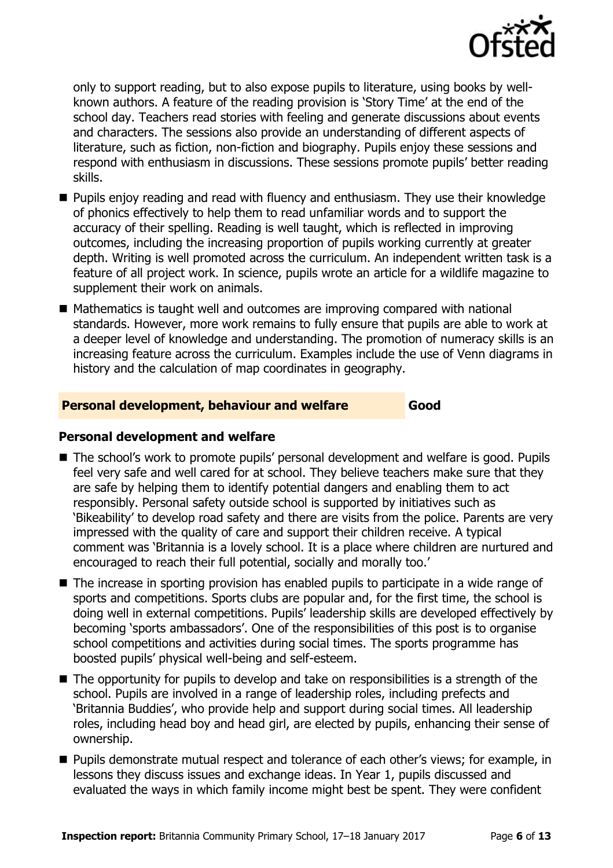

only to support reading, but to also expose pupils to literature, using books by wellknown authors. A feature of the reading provision is 'Story Time' at the end of the school day. Teachers read stories with feeling and generate discussions about events and characters. The sessions also provide an understanding of different aspects of literature, such as fiction, non-fiction and biography. Pupils enjoy these sessions and respond with enthusiasm in discussions. These sessions promote pupils' better reading skills.

- **Pupils enjoy reading and read with fluency and enthusiasm. They use their knowledge** of phonics effectively to help them to read unfamiliar words and to support the accuracy of their spelling. Reading is well taught, which is reflected in improving outcomes, including the increasing proportion of pupils working currently at greater depth. Writing is well promoted across the curriculum. An independent written task is a feature of all project work. In science, pupils wrote an article for a wildlife magazine to supplement their work on animals.
- Mathematics is taught well and outcomes are improving compared with national standards. However, more work remains to fully ensure that pupils are able to work at a deeper level of knowledge and understanding. The promotion of numeracy skills is an increasing feature across the curriculum. Examples include the use of Venn diagrams in history and the calculation of map coordinates in geography.

#### **Personal development, behaviour and welfare Good**

#### **Personal development and welfare**

- The school's work to promote pupils' personal development and welfare is good. Pupils feel very safe and well cared for at school. They believe teachers make sure that they are safe by helping them to identify potential dangers and enabling them to act responsibly. Personal safety outside school is supported by initiatives such as 'Bikeability' to develop road safety and there are visits from the police. Parents are very impressed with the quality of care and support their children receive. A typical comment was 'Britannia is a lovely school. It is a place where children are nurtured and encouraged to reach their full potential, socially and morally too.'
- The increase in sporting provision has enabled pupils to participate in a wide range of sports and competitions. Sports clubs are popular and, for the first time, the school is doing well in external competitions. Pupils' leadership skills are developed effectively by becoming 'sports ambassadors'. One of the responsibilities of this post is to organise school competitions and activities during social times. The sports programme has boosted pupils' physical well-being and self-esteem.
- The opportunity for pupils to develop and take on responsibilities is a strength of the school. Pupils are involved in a range of leadership roles, including prefects and 'Britannia Buddies', who provide help and support during social times. All leadership roles, including head boy and head girl, are elected by pupils, enhancing their sense of ownership.
- **Pupils demonstrate mutual respect and tolerance of each other's views; for example, in** lessons they discuss issues and exchange ideas. In Year 1, pupils discussed and evaluated the ways in which family income might best be spent. They were confident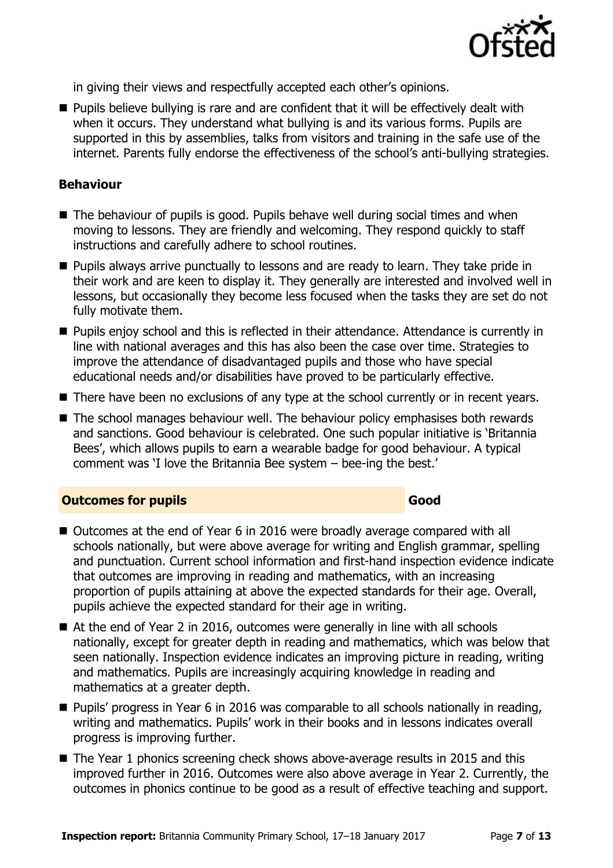

in giving their views and respectfully accepted each other's opinions.

**Pupils believe bullying is rare and are confident that it will be effectively dealt with** when it occurs. They understand what bullying is and its various forms. Pupils are supported in this by assemblies, talks from visitors and training in the safe use of the internet. Parents fully endorse the effectiveness of the school's anti-bullying strategies.

#### **Behaviour**

- The behaviour of pupils is good. Pupils behave well during social times and when moving to lessons. They are friendly and welcoming. They respond quickly to staff instructions and carefully adhere to school routines.
- **Pupils always arrive punctually to lessons and are ready to learn. They take pride in** their work and are keen to display it. They generally are interested and involved well in lessons, but occasionally they become less focused when the tasks they are set do not fully motivate them.
- **Pupils enjoy school and this is reflected in their attendance. Attendance is currently in** line with national averages and this has also been the case over time. Strategies to improve the attendance of disadvantaged pupils and those who have special educational needs and/or disabilities have proved to be particularly effective.
- There have been no exclusions of any type at the school currently or in recent years.
- The school manages behaviour well. The behaviour policy emphasises both rewards and sanctions. Good behaviour is celebrated. One such popular initiative is 'Britannia Bees', which allows pupils to earn a wearable badge for good behaviour. A typical comment was 'I love the Britannia Bee system – bee-ing the best.'

#### **Outcomes for pupils Good**

- Outcomes at the end of Year 6 in 2016 were broadly average compared with all schools nationally, but were above average for writing and English grammar, spelling and punctuation. Current school information and first-hand inspection evidence indicate that outcomes are improving in reading and mathematics, with an increasing proportion of pupils attaining at above the expected standards for their age. Overall, pupils achieve the expected standard for their age in writing.
- At the end of Year 2 in 2016, outcomes were generally in line with all schools nationally, except for greater depth in reading and mathematics, which was below that seen nationally. Inspection evidence indicates an improving picture in reading, writing and mathematics. Pupils are increasingly acquiring knowledge in reading and mathematics at a greater depth.
- **Pupils' progress in Year 6 in 2016 was comparable to all schools nationally in reading,** writing and mathematics. Pupils' work in their books and in lessons indicates overall progress is improving further.
- The Year 1 phonics screening check shows above-average results in 2015 and this improved further in 2016. Outcomes were also above average in Year 2. Currently, the outcomes in phonics continue to be good as a result of effective teaching and support.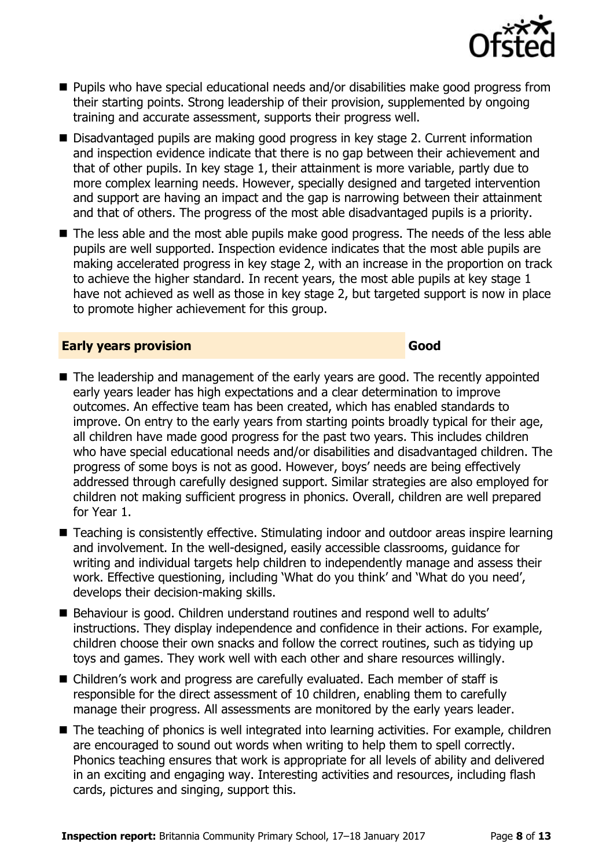

- Pupils who have special educational needs and/or disabilities make good progress from their starting points. Strong leadership of their provision, supplemented by ongoing training and accurate assessment, supports their progress well.
- Disadvantaged pupils are making good progress in key stage 2. Current information and inspection evidence indicate that there is no gap between their achievement and that of other pupils. In key stage 1, their attainment is more variable, partly due to more complex learning needs. However, specially designed and targeted intervention and support are having an impact and the gap is narrowing between their attainment and that of others. The progress of the most able disadvantaged pupils is a priority.
- The less able and the most able pupils make good progress. The needs of the less able pupils are well supported. Inspection evidence indicates that the most able pupils are making accelerated progress in key stage 2, with an increase in the proportion on track to achieve the higher standard. In recent years, the most able pupils at key stage 1 have not achieved as well as those in key stage 2, but targeted support is now in place to promote higher achievement for this group.

#### **Early years provision Good Good**

- The leadership and management of the early years are good. The recently appointed early years leader has high expectations and a clear determination to improve outcomes. An effective team has been created, which has enabled standards to improve. On entry to the early years from starting points broadly typical for their age, all children have made good progress for the past two years. This includes children who have special educational needs and/or disabilities and disadvantaged children. The progress of some boys is not as good. However, boys' needs are being effectively addressed through carefully designed support. Similar strategies are also employed for children not making sufficient progress in phonics. Overall, children are well prepared for Year 1.
- Teaching is consistently effective. Stimulating indoor and outdoor areas inspire learning and involvement. In the well-designed, easily accessible classrooms, guidance for writing and individual targets help children to independently manage and assess their work. Effective questioning, including 'What do you think' and 'What do you need', develops their decision-making skills.
- Behaviour is good. Children understand routines and respond well to adults' instructions. They display independence and confidence in their actions. For example, children choose their own snacks and follow the correct routines, such as tidying up toys and games. They work well with each other and share resources willingly.
- Children's work and progress are carefully evaluated. Each member of staff is responsible for the direct assessment of 10 children, enabling them to carefully manage their progress. All assessments are monitored by the early years leader.
- The teaching of phonics is well integrated into learning activities. For example, children are encouraged to sound out words when writing to help them to spell correctly. Phonics teaching ensures that work is appropriate for all levels of ability and delivered in an exciting and engaging way. Interesting activities and resources, including flash cards, pictures and singing, support this.

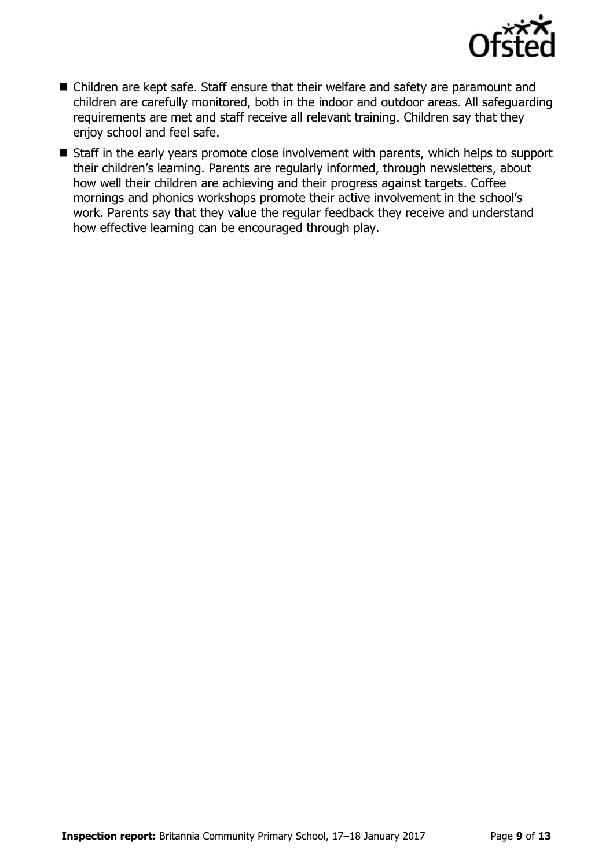

- Children are kept safe. Staff ensure that their welfare and safety are paramount and children are carefully monitored, both in the indoor and outdoor areas. All safeguarding requirements are met and staff receive all relevant training. Children say that they enjoy school and feel safe.
- Staff in the early years promote close involvement with parents, which helps to support their children's learning. Parents are regularly informed, through newsletters, about how well their children are achieving and their progress against targets. Coffee mornings and phonics workshops promote their active involvement in the school's work. Parents say that they value the regular feedback they receive and understand how effective learning can be encouraged through play.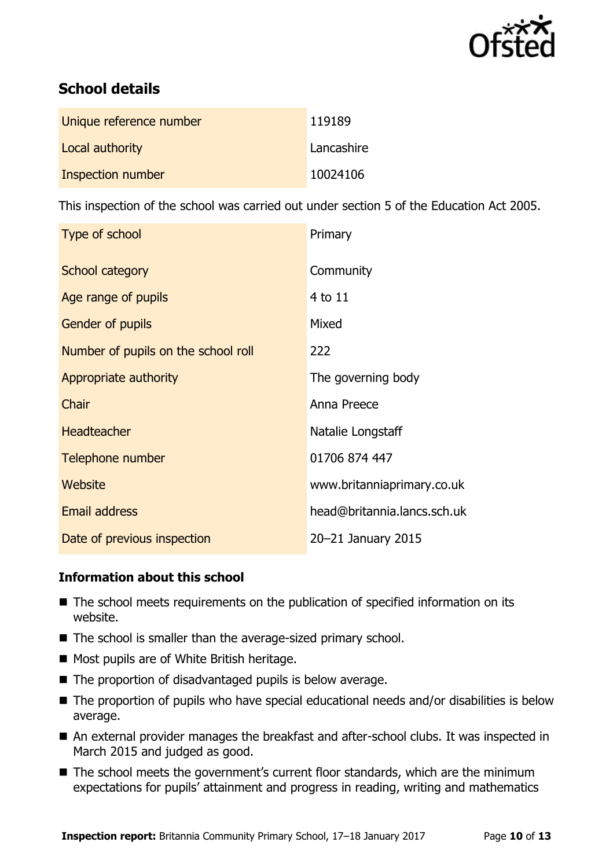

# **School details**

| Unique reference number | 119189     |
|-------------------------|------------|
| Local authority         | Lancashire |
| Inspection number       | 10024106   |

This inspection of the school was carried out under section 5 of the Education Act 2005.

| Type of school                      | Primary                     |
|-------------------------------------|-----------------------------|
| School category                     | Community                   |
| Age range of pupils                 | 4 to 11                     |
| <b>Gender of pupils</b>             | Mixed                       |
| Number of pupils on the school roll | 222                         |
| Appropriate authority               | The governing body          |
| Chair                               | Anna Preece                 |
| <b>Headteacher</b>                  | Natalie Longstaff           |
| Telephone number                    | 01706 874 447               |
| Website                             | www.britanniaprimary.co.uk  |
| <b>Email address</b>                | head@britannia.lancs.sch.uk |
| Date of previous inspection         | 20-21 January 2015          |

#### **Information about this school**

- The school meets requirements on the publication of specified information on its website.
- The school is smaller than the average-sized primary school.
- Most pupils are of White British heritage.
- The proportion of disadvantaged pupils is below average.
- The proportion of pupils who have special educational needs and/or disabilities is below average.
- An external provider manages the breakfast and after-school clubs. It was inspected in March 2015 and judged as good.
- The school meets the government's current floor standards, which are the minimum expectations for pupils' attainment and progress in reading, writing and mathematics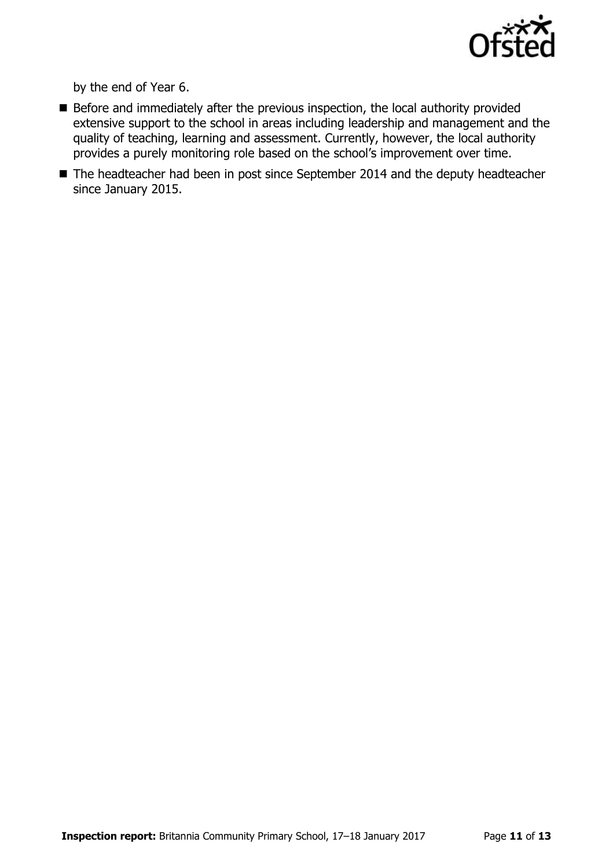

by the end of Year 6.

- $\blacksquare$  Before and immediately after the previous inspection, the local authority provided extensive support to the school in areas including leadership and management and the quality of teaching, learning and assessment. Currently, however, the local authority provides a purely monitoring role based on the school's improvement over time.
- The headteacher had been in post since September 2014 and the deputy headteacher since January 2015.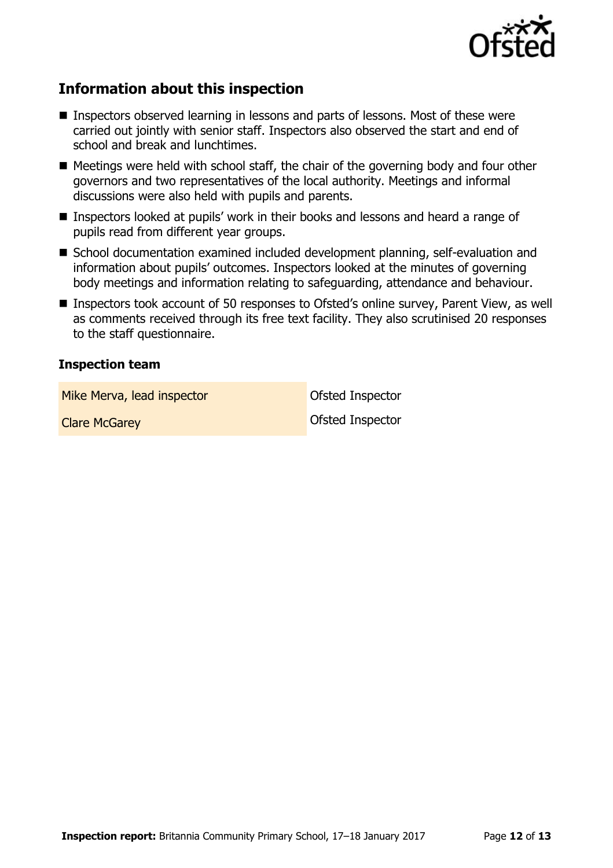

# **Information about this inspection**

- Inspectors observed learning in lessons and parts of lessons. Most of these were carried out jointly with senior staff. Inspectors also observed the start and end of school and break and lunchtimes.
- $\blacksquare$  Meetings were held with school staff, the chair of the governing body and four other governors and two representatives of the local authority. Meetings and informal discussions were also held with pupils and parents.
- Inspectors looked at pupils' work in their books and lessons and heard a range of pupils read from different year groups.
- School documentation examined included development planning, self-evaluation and information about pupils' outcomes. Inspectors looked at the minutes of governing body meetings and information relating to safeguarding, attendance and behaviour.
- Inspectors took account of 50 responses to Ofsted's online survey, Parent View, as well as comments received through its free text facility. They also scrutinised 20 responses to the staff questionnaire.

#### **Inspection team**

Mike Merva, lead inspector and offsted Inspector

**Clare McGarey Clare Accord Clare McGarey Clare Accord Clare Accord Clare Accord Clare Accord Clare Accord Clare**